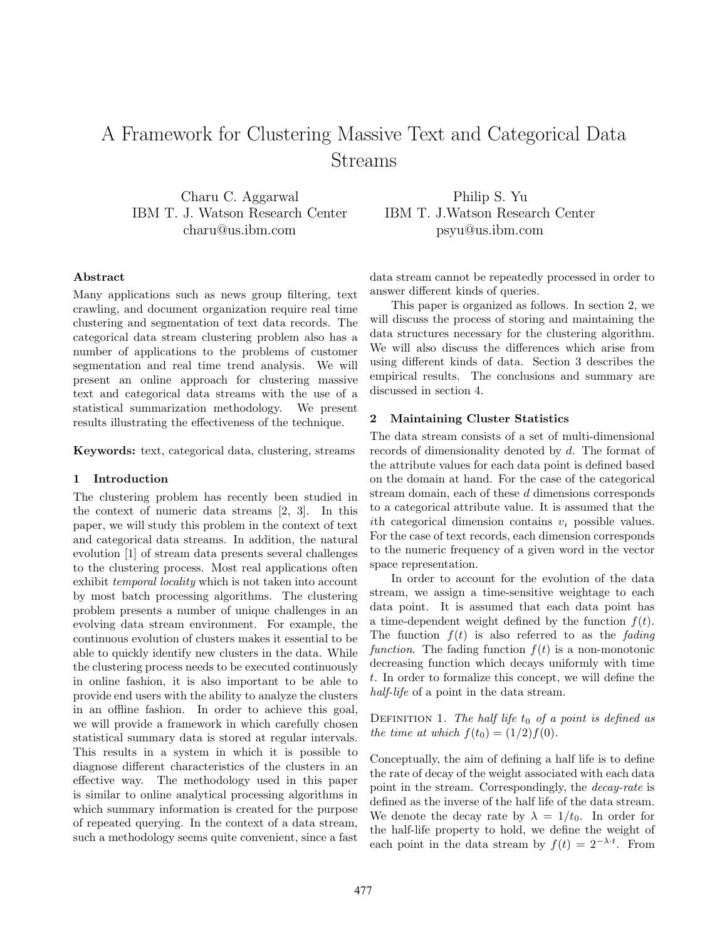# A Framework for Clustering Massive Text and Categorical Data Streams

Charu C. Aggarwal IBM T. J. Watson Research Center charu@us.ibm.com

Philip S. Yu IBM T. J.Watson Research Center psyu@us.ibm.com

## Abstract

Many applications such as news group filtering, text crawling, and document organization require real time clustering and segmentation of text data records. The categorical data stream clustering problem also has a number of applications to the problems of customer segmentation and real time trend analysis. We will present an online approach for clustering massive text and categorical data streams with the use of a statistical summarization methodology. We present results illustrating the effectiveness of the technique.

Keywords: text, categorical data, clustering, streams

## 1 Introduction

The clustering problem has recently been studied in the context of numeric data streams [2, 3]. In this paper, we will study this problem in the context of text and categorical data streams. In addition, the natural evolution [1] of stream data presents several challenges to the clustering process. Most real applications often exhibit temporal locality which is not taken into account by most batch processing algorithms. The clustering problem presents a number of unique challenges in an evolving data stream environment. For example, the continuous evolution of clusters makes it essential to be able to quickly identify new clusters in the data. While the clustering process needs to be executed continuously in online fashion, it is also important to be able to provide end users with the ability to analyze the clusters in an offline fashion. In order to achieve this goal, we will provide a framework in which carefully chosen statistical summary data is stored at regular intervals. This results in a system in which it is possible to diagnose different characteristics of the clusters in an effective way. The methodology used in this paper is similar to online analytical processing algorithms in which summary information is created for the purpose of repeated querying. In the context of a data stream, such a methodology seems quite convenient, since a fast

data stream cannot be repeatedly processed in order to answer different kinds of queries.

This paper is organized as follows. In section 2, we will discuss the process of storing and maintaining the data structures necessary for the clustering algorithm. We will also discuss the differences which arise from using different kinds of data. Section 3 describes the empirical results. The conclusions and summary are discussed in section 4.

#### 2 Maintaining Cluster Statistics

The data stream consists of a set of multi-dimensional records of dimensionality denoted by d. The format of the attribute values for each data point is defined based on the domain at hand. For the case of the categorical stream domain, each of these d dimensions corresponds to a categorical attribute value. It is assumed that the ith categorical dimension contains  $v_i$  possible values. For the case of text records, each dimension corresponds to the numeric frequency of a given word in the vector space representation.

In order to account for the evolution of the data stream, we assign a time-sensitive weightage to each data point. It is assumed that each data point has a time-dependent weight defined by the function  $f(t)$ . The function  $f(t)$  is also referred to as the *fading* function. The fading function  $f(t)$  is a non-monotonic decreasing function which decays uniformly with time t. In order to formalize this concept, we will define the half-life of a point in the data stream.

DEFINITION 1. The half life  $t_0$  of a point is defined as the time at which  $f(t_0) = (1/2)f(0)$ .

Conceptually, the aim of defining a half life is to define the rate of decay of the weight associated with each data point in the stream. Correspondingly, the decay-rate is defined as the inverse of the half life of the data stream. We denote the decay rate by  $\lambda = 1/t_0$ . In order for the half-life property to hold, we define the weight of each point in the data stream by  $f(t) = 2^{-\lambda \cdot t}$ . From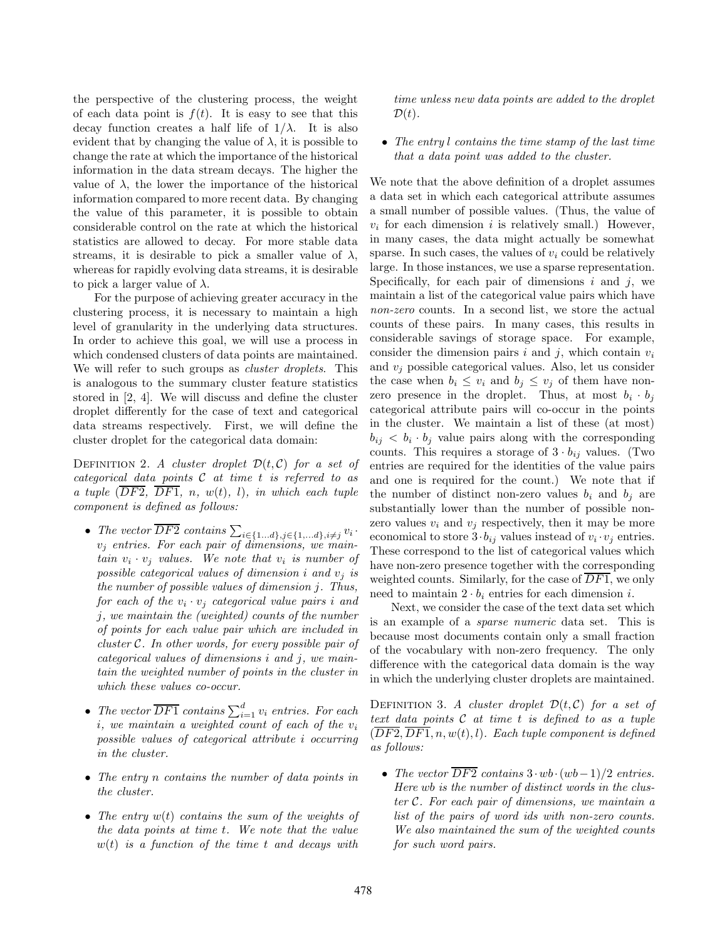the perspective of the clustering process, the weight of each data point is  $f(t)$ . It is easy to see that this decay function creates a half life of  $1/\lambda$ . It is also evident that by changing the value of  $\lambda$ , it is possible to change the rate at which the importance of the historical information in the data stream decays. The higher the value of λ, the lower the importance of the historical information compared to more recent data. By changing the value of this parameter, it is possible to obtain considerable control on the rate at which the historical statistics are allowed to decay. For more stable data streams, it is desirable to pick a smaller value of  $\lambda$ , whereas for rapidly evolving data streams, it is desirable to pick a larger value of  $\lambda$ .

For the purpose of achieving greater accuracy in the clustering process, it is necessary to maintain a high level of granularity in the underlying data structures. In order to achieve this goal, we will use a process in which condensed clusters of data points are maintained. We will refer to such groups as *cluster droplets*. This is analogous to the summary cluster feature statistics stored in [2, 4]. We will discuss and define the cluster droplet differently for the case of text and categorical data streams respectively. First, we will define the cluster droplet for the categorical data domain:

DEFINITION 2. A cluster droplet  $\mathcal{D}(t, \mathcal{C})$  for a set of categorical data points  $C$  at time t is referred to as a tuple  $(\overline{DF2}, \overline{DF1}, n, w(t), l)$ , in which each tuple component is defined as follows:

- The vector DF2 contains  $\sum_{i\in\{1...d\}, j\in\{1,...d\}, i\neq j} v_i$ .  $v_j$  entries. For each pair of dimensions, we main- $\lim v_i \cdot v_j$  values. We note that  $v_i$  is number of possible categorical values of dimension i and  $v_j$  is the number of possible values of dimension j. Thus, for each of the  $v_i \cdot v_j$  categorical value pairs i and j, we maintain the (weighted) counts of the number of points for each value pair which are included in cluster C. In other words, for every possible pair of categorical values of dimensions i and j, we maintain the weighted number of points in the cluster in which these values co-occur.
- The vector  $\overline{DF1}$  contains  $\sum_{i=1}^{d} v_i$  entries. For each  $i, we maintain a weighted count of each of the  $v_i$$ possible values of categorical attribute i occurring in the cluster.
- The entry n contains the number of data points in the cluster.
- The entry  $w(t)$  contains the sum of the weights of the data points at time t. We note that the value  $w(t)$  is a function of the time t and decays with

time unless new data points are added to the droplet  $\mathcal{D}(t)$ .

• The entry l contains the time stamp of the last time that a data point was added to the cluster.

We note that the above definition of a droplet assumes a data set in which each categorical attribute assumes a small number of possible values. (Thus, the value of  $v_i$  for each dimension i is relatively small.) However, in many cases, the data might actually be somewhat sparse. In such cases, the values of  $v_i$  could be relatively large. In those instances, we use a sparse representation. Specifically, for each pair of dimensions  $i$  and  $j$ , we maintain a list of the categorical value pairs which have non-zero counts. In a second list, we store the actual counts of these pairs. In many cases, this results in considerable savings of storage space. For example, consider the dimension pairs i and j, which contain  $v_i$ and  $v_i$  possible categorical values. Also, let us consider the case when  $b_i \leq v_i$  and  $b_j \leq v_j$  of them have nonzero presence in the droplet. Thus, at most  $b_i \cdot b_j$ categorical attribute pairs will co-occur in the points in the cluster. We maintain a list of these (at most)  $b_{ij}$  <  $b_i \cdot b_j$  value pairs along with the corresponding counts. This requires a storage of  $3 \cdot b_{ij}$  values. (Two entries are required for the identities of the value pairs and one is required for the count.) We note that if the number of distinct non-zero values  $b_i$  and  $b_j$  are substantially lower than the number of possible nonzero values  $v_i$  and  $v_j$  respectively, then it may be more economical to store  $3 \cdot b_{ij}$  values instead of  $v_i \cdot v_j$  entries. These correspond to the list of categorical values which have non-zero presence together with the corresponding weighted counts. Similarly, for the case of  $\overline{DF1}$ , we only need to maintain  $2 \cdot b_i$  entries for each dimension *i*.

Next, we consider the case of the text data set which is an example of a sparse numeric data set. This is because most documents contain only a small fraction of the vocabulary with non-zero frequency. The only difference with the categorical data domain is the way in which the underlying cluster droplets are maintained.

DEFINITION 3. A cluster droplet  $\mathcal{D}(t, \mathcal{C})$  for a set of text data points  $C$  at time  $t$  is defined to as a tuple  $(\overline{DF2}, \overline{DF1}, n, w(t), l)$ . Each tuple component is defined as follows:

• The vector  $\overline{DF2}$  contains  $3 \cdot wb \cdot (wb-1)/2$  entries. Here wb is the number of distinct words in the cluster C. For each pair of dimensions, we maintain a list of the pairs of word ids with non-zero counts. We also maintained the sum of the weighted counts for such word pairs.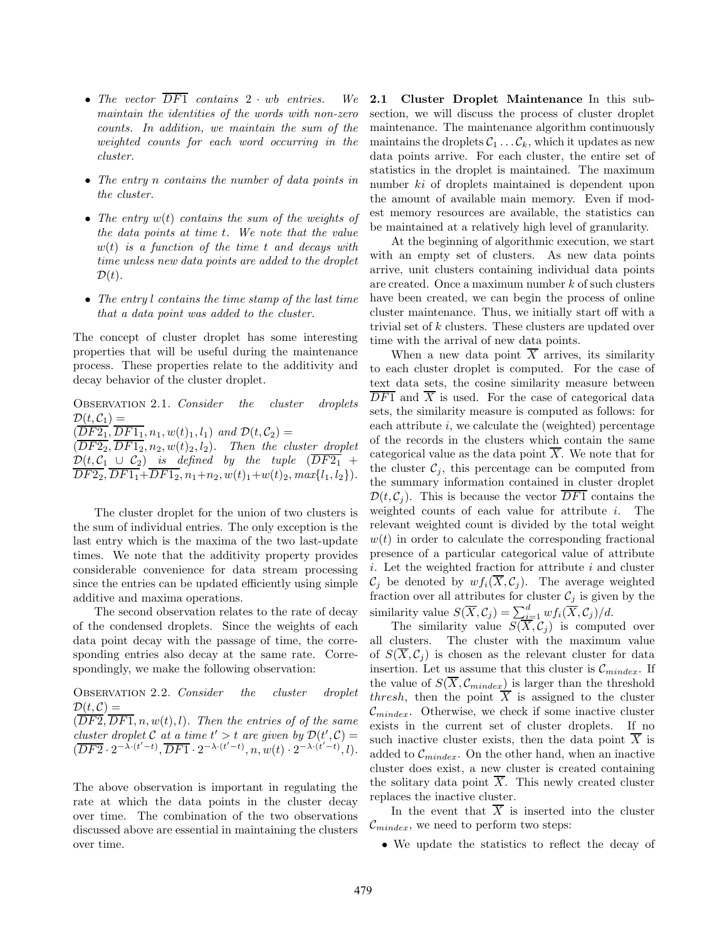- The vector  $\overline{DF1}$  contains  $2 \cdot wb$  entries. We maintain the identities of the words with non-zero counts. In addition, we maintain the sum of the weighted counts for each word occurring in the cluster.
- The entry n contains the number of data points in the cluster.
- The entry  $w(t)$  contains the sum of the weights of the data points at time t. We note that the value  $w(t)$  is a function of the time t and decays with time unless new data points are added to the droplet  $\mathcal{D}(t)$ .
- The entry l contains the time stamp of the last time that a data point was added to the cluster.

The concept of cluster droplet has some interesting properties that will be useful during the maintenance process. These properties relate to the additivity and decay behavior of the cluster droplet.

Observation 2.1. Consider the cluster droplets  $\mathcal{D}(t, \mathcal{C}_1) =$  $(\overline{DF2_1}, \overline{DF1_1}, n_1, w(t)_1, l_1)$  and  $\mathcal{D}(t, \mathcal{C}_2) =$  $(\overline{DF2_2}, \overline{DF1_2}, n_2, w(t)_2, l_2)$ . Then the cluster droplet  $\mathcal{D}(t, \mathcal{C}_1 \cup \mathcal{C}_2)$  is defined by the tuple  $(DF2_1 +$  $DF2_2, DF1_1+DF1_2, n_1+n_2, w(t)_1+w(t)_2, max\{l_1, l_2\}).$ 

The cluster droplet for the union of two clusters is the sum of individual entries. The only exception is the last entry which is the maxima of the two last-update times. We note that the additivity property provides considerable convenience for data stream processing since the entries can be updated efficiently using simple additive and maxima operations.

The second observation relates to the rate of decay of the condensed droplets. Since the weights of each data point decay with the passage of time, the corresponding entries also decay at the same rate. Correspondingly, we make the following observation:

Observation 2.2. Consider the cluster droplet  $\mathcal{D}(t, \mathcal{C}) =$ 

 $(\overline{DF2}, \overline{DF1}, n, w(t), l)$ . Then the entries of of the same cluster droplet C at a time  $t' > t$  are given by  $\mathcal{D}(t', \mathcal{C}) =$  $(\overline{DF2} \cdot 2^{-\lambda \cdot (t'-t)}, \overline{DF1} \cdot 2^{-\lambda \cdot (t'-t)}, n, w(t) \cdot 2^{-\lambda \cdot (t'-t)}, l).$ 

The above observation is important in regulating the rate at which the data points in the cluster decay over time. The combination of the two observations discussed above are essential in maintaining the clusters over time.

2.1 Cluster Droplet Maintenance In this subsection, we will discuss the process of cluster droplet maintenance. The maintenance algorithm continuously maintains the droplets  $C_1 \ldots C_k$ , which it updates as new data points arrive. For each cluster, the entire set of statistics in the droplet is maintained. The maximum number ki of droplets maintained is dependent upon the amount of available main memory. Even if modest memory resources are available, the statistics can be maintained at a relatively high level of granularity.

At the beginning of algorithmic execution, we start with an empty set of clusters. As new data points arrive, unit clusters containing individual data points are created. Once a maximum number k of such clusters have been created, we can begin the process of online cluster maintenance. Thus, we initially start off with a trivial set of k clusters. These clusters are updated over time with the arrival of new data points.

When a new data point  $\overline{X}$  arrives, its similarity to each cluster droplet is computed. For the case of text data sets, the cosine similarity measure between  $\overline{DF1}$  and  $\overline{X}$  is used. For the case of categorical data sets, the similarity measure is computed as follows: for each attribute  $i$ , we calculate the (weighted) percentage of the records in the clusters which contain the same categorical value as the data point  $X$ . We note that for the cluster  $\mathcal{C}_i$ , this percentage can be computed from the summary information contained in cluster droplet  $\mathcal{D}(t, \mathcal{C}_i)$ . This is because the vector  $\overline{DF1}$  contains the weighted counts of each value for attribute i. The relevant weighted count is divided by the total weight  $w(t)$  in order to calculate the corresponding fractional presence of a particular categorical value of attribute  $i.$  Let the weighted fraction for attribute  $i$  and cluster  $\mathcal{C}_j$  be denoted by  $wf_i(\overline{X}, \mathcal{C}_j)$ . The average weighted fraction over all attributes for cluster  $\mathcal{C}_j$  is given by the similarity value  $S(\overline{X}, \mathcal{C}_j) = \sum_{i=1}^d w f_i(\overline{X}, \mathcal{C}_j)/d$ .

The similarity value  $S(X, \mathcal{C}_j)$  is computed over all clusters. The cluster with the maximum value of  $S(\overline{X}, \mathcal{C}_i)$  is chosen as the relevant cluster for data insertion. Let us assume that this cluster is  $\mathcal{C}_{mindex}$ . If the value of  $S(\overline{X}, \mathcal{C}_{mindex})$  is larger than the threshold thresh, then the point  $\overline{X}$  is assigned to the cluster  $\mathcal{C}_{mindex}$ . Otherwise, we check if some inactive cluster exists in the current set of cluster droplets. If no such inactive cluster exists, then the data point  $X$  is added to  $\mathcal{C}_{mindex}$ . On the other hand, when an inactive cluster does exist, a new cluster is created containing the solitary data point  $\overline{X}$ . This newly created cluster replaces the inactive cluster.

In the event that  $\overline{X}$  is inserted into the cluster  $\mathcal{C}_{mindex}$ , we need to perform two steps:

• We update the statistics to reflect the decay of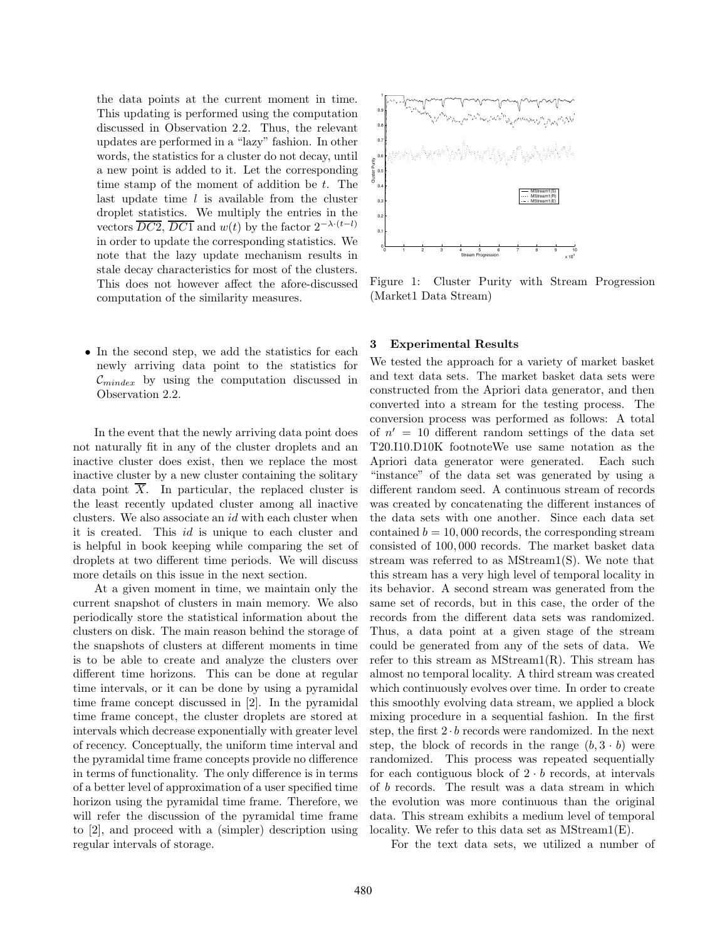the data points at the current moment in time. This updating is performed using the computation discussed in Observation 2.2. Thus, the relevant updates are performed in a "lazy" fashion. In other words, the statistics for a cluster do not decay, until a new point is added to it. Let the corresponding time stamp of the moment of addition be t. The last update time  $l$  is available from the cluster droplet statistics. We multiply the entries in the vectors  $\overline{DC2}$ ,  $\overline{DC1}$  and  $w(t)$  by the factor  $2^{-\lambda \cdot (t-l)}$ in order to update the corresponding statistics. We note that the lazy update mechanism results in stale decay characteristics for most of the clusters. This does not however affect the afore-discussed computation of the similarity measures.

• In the second step, we add the statistics for each newly arriving data point to the statistics for  $\mathcal{C}_{mindex}$  by using the computation discussed in Observation 2.2.

In the event that the newly arriving data point does not naturally fit in any of the cluster droplets and an inactive cluster does exist, then we replace the most inactive cluster by a new cluster containing the solitary data point  $\overline{X}$ . In particular, the replaced cluster is the least recently updated cluster among all inactive clusters. We also associate an id with each cluster when it is created. This id is unique to each cluster and is helpful in book keeping while comparing the set of droplets at two different time periods. We will discuss more details on this issue in the next section.

At a given moment in time, we maintain only the current snapshot of clusters in main memory. We also periodically store the statistical information about the clusters on disk. The main reason behind the storage of the snapshots of clusters at different moments in time is to be able to create and analyze the clusters over different time horizons. This can be done at regular time intervals, or it can be done by using a pyramidal time frame concept discussed in [2]. In the pyramidal time frame concept, the cluster droplets are stored at intervals which decrease exponentially with greater level of recency. Conceptually, the uniform time interval and the pyramidal time frame concepts provide no difference in terms of functionality. The only difference is in terms of a better level of approximation of a user specified time horizon using the pyramidal time frame. Therefore, we will refer the discussion of the pyramidal time frame to [2], and proceed with a (simpler) description using regular intervals of storage.



Figure 1: Cluster Purity with Stream Progression (Market1 Data Stream)

## 3 Experimental Results

We tested the approach for a variety of market basket and text data sets. The market basket data sets were constructed from the Apriori data generator, and then converted into a stream for the testing process. The conversion process was performed as follows: A total of  $n' = 10$  different random settings of the data set T20.I10.D10K footnoteWe use same notation as the Apriori data generator were generated. Each such "instance" of the data set was generated by using a different random seed. A continuous stream of records was created by concatenating the different instances of the data sets with one another. Since each data set contained  $b = 10,000$  records, the corresponding stream consisted of 100, 000 records. The market basket data stream was referred to as MStream1(S). We note that this stream has a very high level of temporal locality in its behavior. A second stream was generated from the same set of records, but in this case, the order of the records from the different data sets was randomized. Thus, a data point at a given stage of the stream could be generated from any of the sets of data. We refer to this stream as  $MStream1(R)$ . This stream has almost no temporal locality. A third stream was created which continuously evolves over time. In order to create this smoothly evolving data stream, we applied a block mixing procedure in a sequential fashion. In the first step, the first  $2 \cdot b$  records were randomized. In the next step, the block of records in the range  $(b, 3 \cdot b)$  were randomized. This process was repeated sequentially for each contiguous block of  $2 \cdot b$  records, at intervals of b records. The result was a data stream in which the evolution was more continuous than the original data. This stream exhibits a medium level of temporal locality. We refer to this data set as MStream1(E).

For the text data sets, we utilized a number of